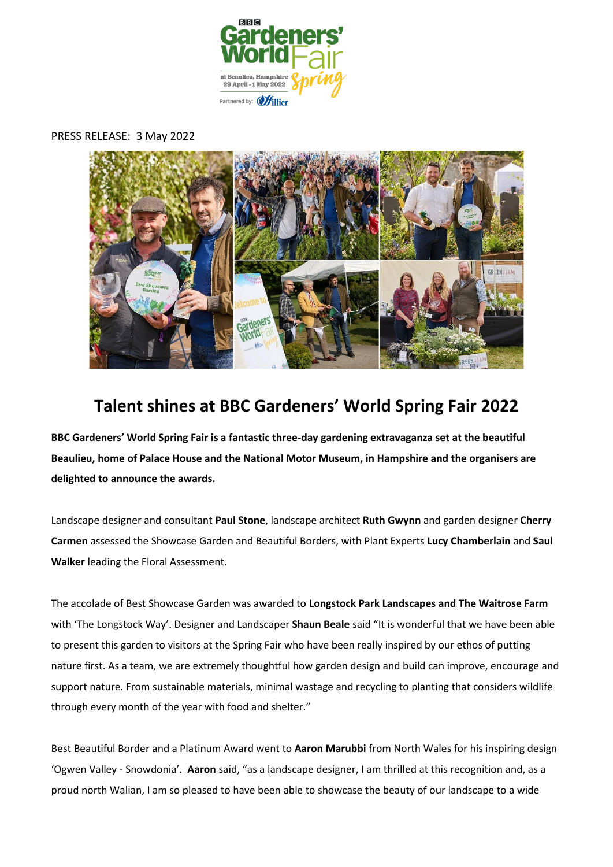

### PRESS RELEASE: 3 May 2022



# **Talent shines at BBC Gardeners' World Spring Fair 2022**

**BBC Gardeners' World Spring Fair is a fantastic three-day gardening extravaganza set at the beautiful Beaulieu, home of Palace House and the National Motor Museum, in Hampshire and the organisers are delighted to announce the awards.** 

Landscape designer and consultant **Paul Stone**, landscape architect **Ruth Gwynn** and garden designer **Cherry Carmen** assessed the Showcase Garden and Beautiful Borders, with Plant Experts **Lucy Chamberlain** and **Saul Walker** leading the Floral Assessment.

The accolade of Best Showcase Garden was awarded to **Longstock Park Landscapes and The Waitrose Farm** with 'The Longstock Way'. Designer and Landscaper **Shaun Beale** said "It is wonderful that we have been able to present this garden to visitors at the Spring Fair who have been really inspired by our ethos of putting nature first. As a team, we are extremely thoughtful how garden design and build can improve, encourage and support nature. From sustainable materials, minimal wastage and recycling to planting that considers wildlife through every month of the year with food and shelter."

Best Beautiful Border and a Platinum Award went to **Aaron Marubbi** from North Wales for his inspiring design 'Ogwen Valley - Snowdonia'. **Aaron** said, "as a landscape designer, I am thrilled at this recognition and, as a proud north Walian, I am so pleased to have been able to showcase the beauty of our landscape to a wide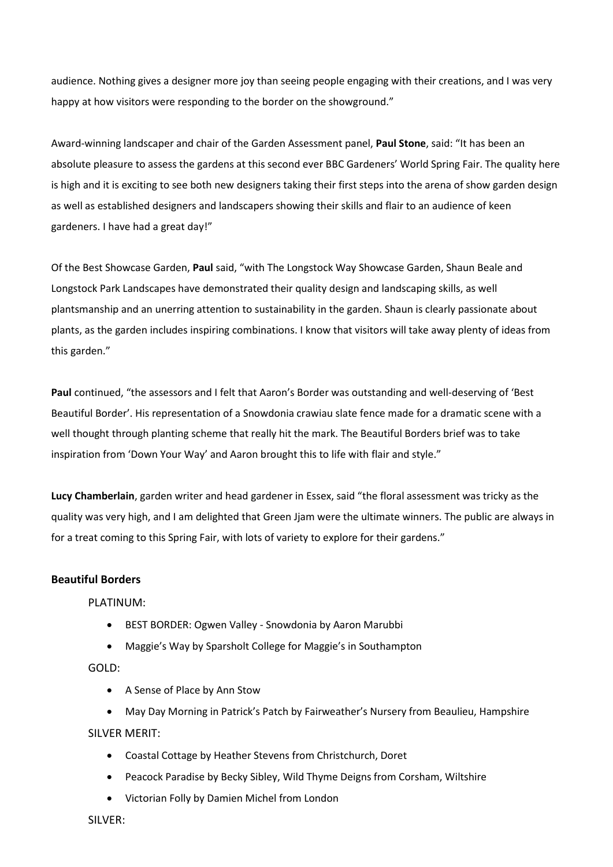audience. Nothing gives a designer more joy than seeing people engaging with their creations, and I was very happy at how visitors were responding to the border on the showground."

Award-winning landscaper and chair of the Garden Assessment panel, **Paul Stone**, said: "It has been an absolute pleasure to assess the gardens at this second ever BBC Gardeners' World Spring Fair. The quality here is high and it is exciting to see both new designers taking their first steps into the arena of show garden design as well as established designers and landscapers showing their skills and flair to an audience of keen gardeners. I have had a great day!"

Of the Best Showcase Garden, **Paul** said, "with The Longstock Way Showcase Garden, Shaun Beale and Longstock Park Landscapes have demonstrated their quality design and landscaping skills, as well plantsmanship and an unerring attention to sustainability in the garden. Shaun is clearly passionate about plants, as the garden includes inspiring combinations. I know that visitors will take away plenty of ideas from this garden."

**Paul** continued, "the assessors and I felt that Aaron's Border was outstanding and well-deserving of 'Best Beautiful Border'. His representation of a Snowdonia crawiau slate fence made for a dramatic scene with a well thought through planting scheme that really hit the mark. The Beautiful Borders brief was to take inspiration from 'Down Your Way' and Aaron brought this to life with flair and style."

**Lucy Chamberlain**, garden writer and head gardener in Essex, said "the floral assessment was tricky as the quality was very high, and I am delighted that Green Jjam were the ultimate winners. The public are always in for a treat coming to this Spring Fair, with lots of variety to explore for their gardens."

## **Beautiful Borders**

PLATINUM:

- BEST BORDER: Ogwen Valley Snowdonia by Aaron Marubbi
- Maggie's Way by Sparsholt College for Maggie's in Southampton

GOLD:

• A Sense of Place by Ann Stow

• May Day Morning in Patrick's Patch by Fairweather's Nursery from Beaulieu, Hampshire SILVER MERIT:

- Coastal Cottage by Heather Stevens from Christchurch, Doret
- Peacock Paradise by Becky Sibley, Wild Thyme Deigns from Corsham, Wiltshire
- Victorian Folly by Damien Michel from London

SILVER: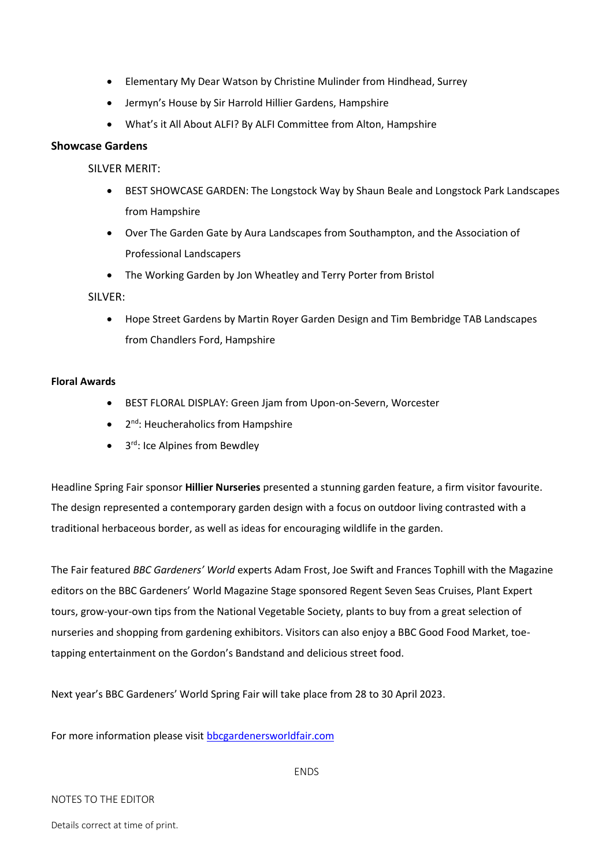- Elementary My Dear Watson by Christine Mulinder from Hindhead, Surrey
- Jermyn's House by Sir Harrold Hillier Gardens, Hampshire
- What's it All About ALFI? By ALFI Committee from Alton, Hampshire

## **Showcase Gardens**

SILVER MERIT:

- BEST SHOWCASE GARDEN: The Longstock Way by Shaun Beale and Longstock Park Landscapes from Hampshire
- Over The Garden Gate by Aura Landscapes from Southampton, and the Association of Professional Landscapers
- The Working Garden by Jon Wheatley and Terry Porter from Bristol

SILVER:

• Hope Street Gardens by Martin Royer Garden Design and Tim Bembridge TAB Landscapes from Chandlers Ford, Hampshire

#### **Floral Awards**

- BEST FLORAL DISPLAY: Green Jjam from Upon-on-Severn, Worcester
- 2<sup>nd</sup>: Heucheraholics from Hampshire
- 3<sup>rd</sup>: Ice Alpines from Bewdley

Headline Spring Fair sponsor **Hillier Nurseries** presented a stunning garden feature, a firm visitor favourite. The design represented a contemporary garden design with a focus on outdoor living contrasted with a traditional herbaceous border, as well as ideas for encouraging wildlife in the garden.

The Fair featured *BBC Gardeners' World* experts Adam Frost, Joe Swift and Frances Tophill with the Magazine editors on the BBC Gardeners' World Magazine Stage sponsored Regent Seven Seas Cruises, Plant Expert tours, grow-your-own tips from the National Vegetable Society, plants to buy from a great selection of nurseries and shopping from gardening exhibitors. Visitors can also enjoy a BBC Good Food Market, toetapping entertainment on the Gordon's Bandstand and delicious street food.

Next year's BBC Gardeners' World Spring Fair will take place from 28 to 30 April 2023.

For more information please visi[t bbcgardenersworldfair.com](http://www.bbcgardenersworldfair.com/)

#### NOTES TO THE EDITOR

Details correct at time of print.